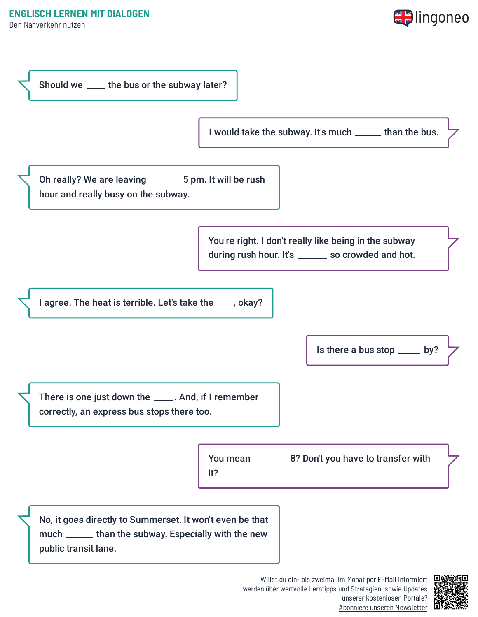Den Nahverkehr nutzen





werden über wertvolle Lerntipps und Strategien, sowie Updates unserer kostenlosen Portale? Abonniere unseren [Newsletter](https://www.lingoneo.org/englisch-lernen?channel=emailcampaignnewsletter&tcontent=so-m-27&tsource=srt_source)